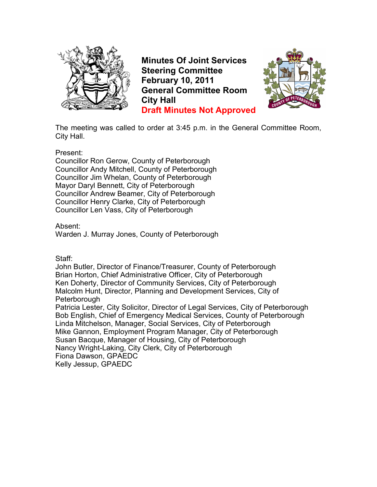

**Minutes Of Joint Services Steering Committee February 10, 2011 General Committee Room City Hall Draft Minutes Not Approved**



The meeting was called to order at 3:45 p.m. in the General Committee Room, City Hall.

Present:

Councillor Ron Gerow, County of Peterborough Councillor Andy Mitchell, County of Peterborough Councillor Jim Whelan, County of Peterborough Mayor Daryl Bennett, City of Peterborough Councillor Andrew Beamer, City of Peterborough Councillor Henry Clarke, City of Peterborough Councillor Len Vass, City of Peterborough

Absent:

Warden J. Murray Jones, County of Peterborough

Staff:

John Butler, Director of Finance/Treasurer, County of Peterborough Brian Horton, Chief Administrative Officer, City of Peterborough Ken Doherty, Director of Community Services, City of Peterborough Malcolm Hunt, Director, Planning and Development Services, City of Peterborough

Patricia Lester, City Solicitor, Director of Legal Services, City of Peterborough Bob English, Chief of Emergency Medical Services, County of Peterborough Linda Mitchelson, Manager, Social Services, City of Peterborough Mike Gannon, Employment Program Manager, City of Peterborough Susan Bacque, Manager of Housing, City of Peterborough Nancy Wright-Laking, City Clerk, City of Peterborough Fiona Dawson, GPAEDC Kelly Jessup, GPAEDC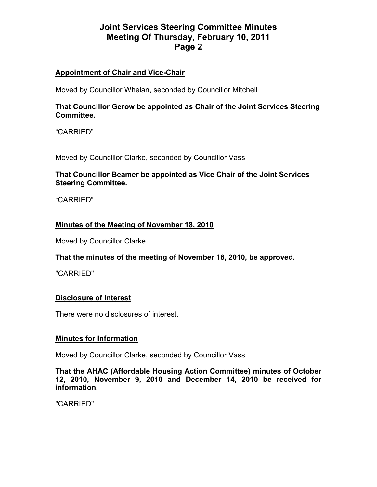## **Appointment of Chair and Vice-Chair**

Moved by Councillor Whelan, seconded by Councillor Mitchell

### **That Councillor Gerow be appointed as Chair of the Joint Services Steering Committee.**

"CARRIED"

Moved by Councillor Clarke, seconded by Councillor Vass

### **That Councillor Beamer be appointed as Vice Chair of the Joint Services Steering Committee.**

"CARRIED"

### **Minutes of the Meeting of November 18, 2010**

Moved by Councillor Clarke

### **That the minutes of the meeting of November 18, 2010, be approved.**

"CARRIED"

### **Disclosure of Interest**

There were no disclosures of interest.

#### **Minutes for Information**

Moved by Councillor Clarke, seconded by Councillor Vass

**That the AHAC (Affordable Housing Action Committee) minutes of October 12, 2010, November 9, 2010 and December 14, 2010 be received for information.**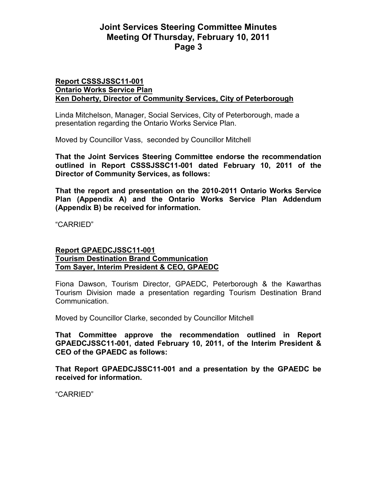#### **Report CSSSJSSC11-001 Ontario Works Service Plan Ken Doherty, Director of Community Services, City of Peterborough**

Linda Mitchelson, Manager, Social Services, City of Peterborough, made a presentation regarding the Ontario Works Service Plan.

Moved by Councillor Vass, seconded by Councillor Mitchell

**That the Joint Services Steering Committee endorse the recommendation outlined in Report CSSSJSSC11-001 dated February 10, 2011 of the Director of Community Services, as follows:** 

**That the report and presentation on the 2010-2011 Ontario Works Service Plan (Appendix A) and the Ontario Works Service Plan Addendum (Appendix B) be received for information.** 

"CARRIED"

#### **Report GPAEDCJSSC11-001 Tourism Destination Brand Communication Tom Sayer, Interim President & CEO, GPAEDC**

Fiona Dawson, Tourism Director, GPAEDC, Peterborough & the Kawarthas Tourism Division made a presentation regarding Tourism Destination Brand Communication.

Moved by Councillor Clarke, seconded by Councillor Mitchell

**That Committee approve the recommendation outlined in Report GPAEDCJSSC11-001, dated February 10, 2011, of the Interim President & CEO of the GPAEDC as follows:** 

**That Report GPAEDCJSSC11-001 and a presentation by the GPAEDC be received for information.**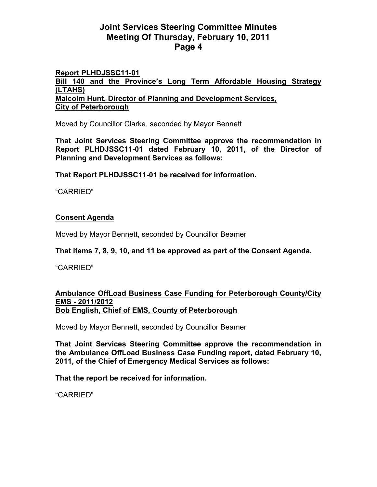## **Report PLHDJSSC11-01**

**Bill 140 and the Province's Long Term Affordable Housing Strategy (LTAHS) Malcolm Hunt, Director of Planning and Development Services, City of Peterborough**

Moved by Councillor Clarke, seconded by Mayor Bennett

**That Joint Services Steering Committee approve the recommendation in Report PLHDJSSC11-01 dated February 10, 2011, of the Director of Planning and Development Services as follows:** 

**That Report PLHDJSSC11-01 be received for information.** 

"CARRIED"

## **Consent Agenda**

Moved by Mayor Bennett, seconded by Councillor Beamer

**That items 7, 8, 9, 10, and 11 be approved as part of the Consent Agenda.** 

"CARRIED"

#### **Ambulance OffLoad Business Case Funding for Peterborough County/City EMS - 2011/2012 Bob English, Chief of EMS, County of Peterborough**

Moved by Mayor Bennett, seconded by Councillor Beamer

**That Joint Services Steering Committee approve the recommendation in the Ambulance OffLoad Business Case Funding report, dated February 10, 2011, of the Chief of Emergency Medical Services as follows:** 

**That the report be received for information.**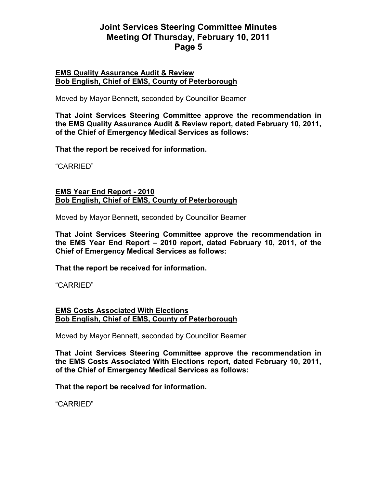#### **EMS Quality Assurance Audit & Review Bob English, Chief of EMS, County of Peterborough**

Moved by Mayor Bennett, seconded by Councillor Beamer

**That Joint Services Steering Committee approve the recommendation in the EMS Quality Assurance Audit & Review report, dated February 10, 2011, of the Chief of Emergency Medical Services as follows:** 

**That the report be received for information.** 

"CARRIED"

#### **EMS Year End Report - 2010 Bob English, Chief of EMS, County of Peterborough**

Moved by Mayor Bennett, seconded by Councillor Beamer

**That Joint Services Steering Committee approve the recommendation in the EMS Year End Report – 2010 report, dated February 10, 2011, of the Chief of Emergency Medical Services as follows:** 

**That the report be received for information.** 

"CARRIED"

#### **EMS Costs Associated With Elections Bob English, Chief of EMS, County of Peterborough**

Moved by Mayor Bennett, seconded by Councillor Beamer

**That Joint Services Steering Committee approve the recommendation in the EMS Costs Associated With Elections report, dated February 10, 2011, of the Chief of Emergency Medical Services as follows:** 

**That the report be received for information.**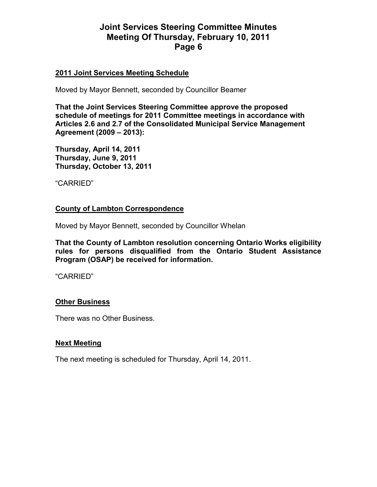#### **2011 Joint Services Meeting Schedule**

Moved by Mayor Bennett, seconded by Councillor Beamer

**That the Joint Services Steering Committee approve the proposed schedule of meetings for 2011 Committee meetings in accordance with Articles 2.6 and 2.7 of the Consolidated Municipal Service Management Agreement (2009 – 2013):** 

**Thursday, April 14, 2011 Thursday, June 9, 2011 Thursday, October 13, 2011** 

"CARRIED"

#### **County of Lambton Correspondence**

Moved by Mayor Bennett, seconded by Councillor Whelan

**That the County of Lambton resolution concerning Ontario Works eligibility rules for persons disqualified from the Ontario Student Assistance Program (OSAP) be received for information.** 

"CARRIED"

### **Other Business**

There was no Other Business.

### **Next Meeting**

The next meeting is scheduled for Thursday, April 14, 2011.